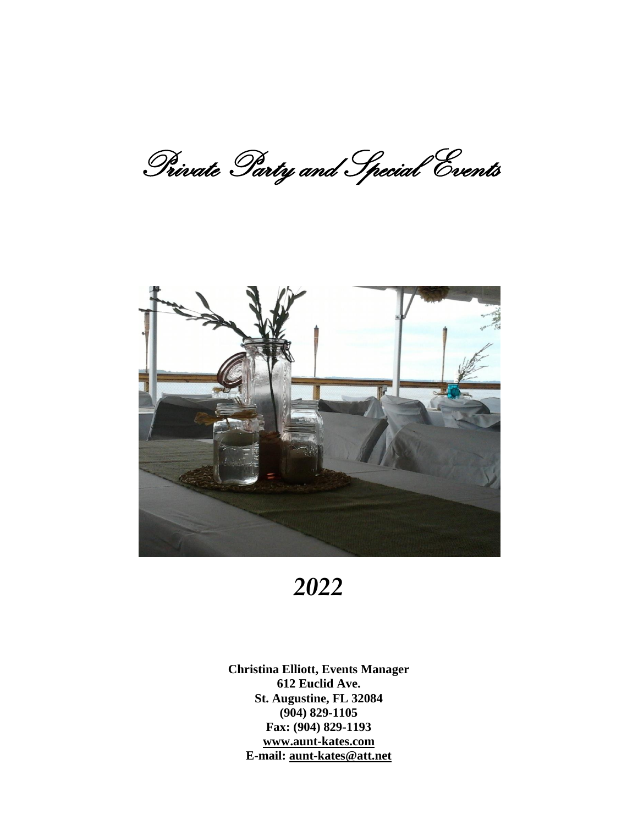Private Party and Special Events



# *2022*

**Christina Elliott, Events Manager 612 Euclid Ave. St. Augustine, FL 32084 (904) 829-1105 Fax: (904) 829-1193 [www.aunt-kates.com](http://www.aunt-kates.com/) E-mail: [aunt-kates@att.net](mailto:aunt-kates@att.net)**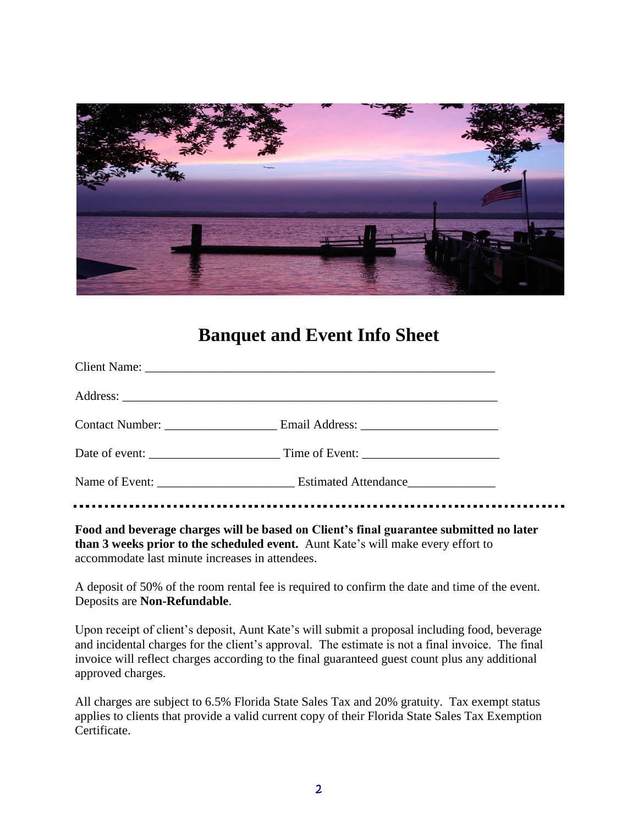

# **Banquet and Event Info Sheet**

**Food and beverage charges will be based on Client's final guarantee submitted no later than 3 weeks prior to the scheduled event.** Aunt Kate's will make every effort to accommodate last minute increases in attendees.

A deposit of 50% of the room rental fee is required to confirm the date and time of the event. Deposits are **Non-Refundable**.

Upon receipt of client's deposit, Aunt Kate's will submit a proposal including food, beverage and incidental charges for the client's approval. The estimate is not a final invoice. The final invoice will reflect charges according to the final guaranteed guest count plus any additional approved charges.

All charges are subject to 6.5% Florida State Sales Tax and 20% gratuity. Tax exempt status applies to clients that provide a valid current copy of their Florida State Sales Tax Exemption Certificate.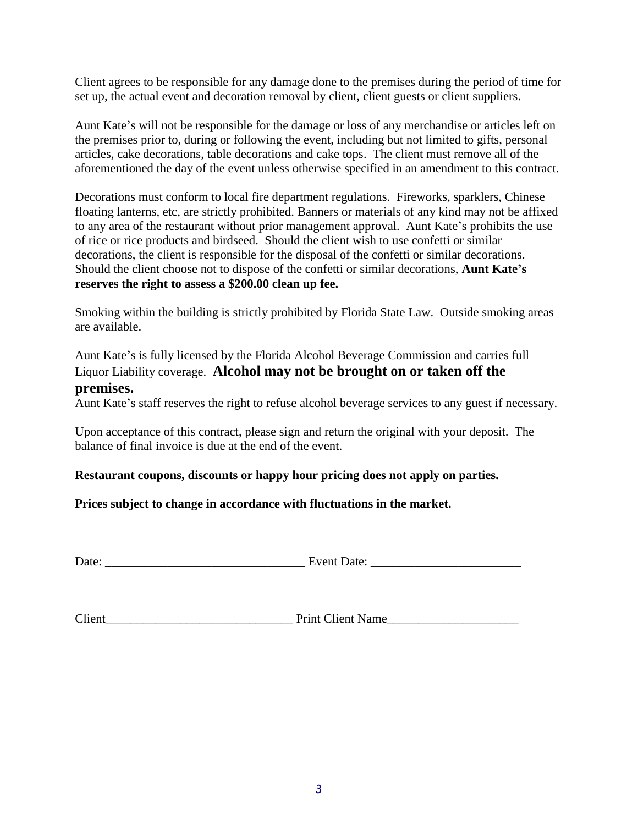Client agrees to be responsible for any damage done to the premises during the period of time for set up, the actual event and decoration removal by client, client guests or client suppliers.

Aunt Kate's will not be responsible for the damage or loss of any merchandise or articles left on the premises prior to, during or following the event, including but not limited to gifts, personal articles, cake decorations, table decorations and cake tops. The client must remove all of the aforementioned the day of the event unless otherwise specified in an amendment to this contract.

Decorations must conform to local fire department regulations. Fireworks, sparklers, Chinese floating lanterns, etc, are strictly prohibited. Banners or materials of any kind may not be affixed to any area of the restaurant without prior management approval. Aunt Kate's prohibits the use of rice or rice products and birdseed. Should the client wish to use confetti or similar decorations, the client is responsible for the disposal of the confetti or similar decorations. Should the client choose not to dispose of the confetti or similar decorations, **Aunt Kate's reserves the right to assess a \$200.00 clean up fee.**

Smoking within the building is strictly prohibited by Florida State Law. Outside smoking areas are available.

Aunt Kate's is fully licensed by the Florida Alcohol Beverage Commission and carries full Liquor Liability coverage. **Alcohol may not be brought on or taken off the premises.**

Aunt Kate's staff reserves the right to refuse alcohol beverage services to any guest if necessary.

Upon acceptance of this contract, please sign and return the original with your deposit. The balance of final invoice is due at the end of the event.

**Restaurant coupons, discounts or happy hour pricing does not apply on parties.**

**Prices subject to change in accordance with fluctuations in the market.**

| Date | $-$<br>Jate:<br>ени<br>$\mathbf{v}$ |
|------|-------------------------------------|
|      |                                     |

Client\_\_\_\_\_\_\_\_\_\_\_\_\_\_\_\_\_\_\_\_\_\_\_\_\_\_\_\_\_\_ Print Client Name\_\_\_\_\_\_\_\_\_\_\_\_\_\_\_\_\_\_\_\_\_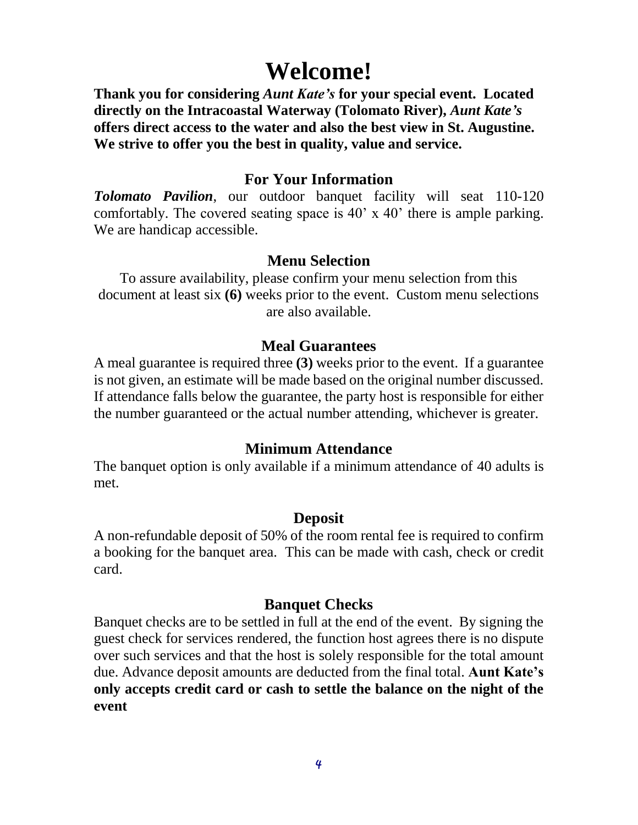# **Welcome!**

**Thank you for considering** *Aunt Kate's* **for your special event. Located directly on the Intracoastal Waterway (Tolomato River),** *Aunt Kate's* **offers direct access to the water and also the best view in St. Augustine. We strive to offer you the best in quality, value and service.**

#### **For Your Information**

*Tolomato Pavilion*, our outdoor banquet facility will seat 110-120 comfortably. The covered seating space is 40' x 40' there is ample parking. We are handicap accessible.

#### **Menu Selection**

To assure availability, please confirm your menu selection from this document at least six **(6)** weeks prior to the event. Custom menu selections are also available.

#### **Meal Guarantees**

A meal guarantee is required three **(3)** weeks prior to the event. If a guarantee is not given, an estimate will be made based on the original number discussed. If attendance falls below the guarantee, the party host is responsible for either the number guaranteed or the actual number attending, whichever is greater.

#### **Minimum Attendance**

The banquet option is only available if a minimum attendance of 40 adults is met.

#### **Deposit**

A non-refundable deposit of 50% of the room rental fee is required to confirm a booking for the banquet area. This can be made with cash, check or credit card.

#### **Banquet Checks**

Banquet checks are to be settled in full at the end of the event. By signing the guest check for services rendered, the function host agrees there is no dispute over such services and that the host is solely responsible for the total amount due. Advance deposit amounts are deducted from the final total. **Aunt Kate's only accepts credit card or cash to settle the balance on the night of the event**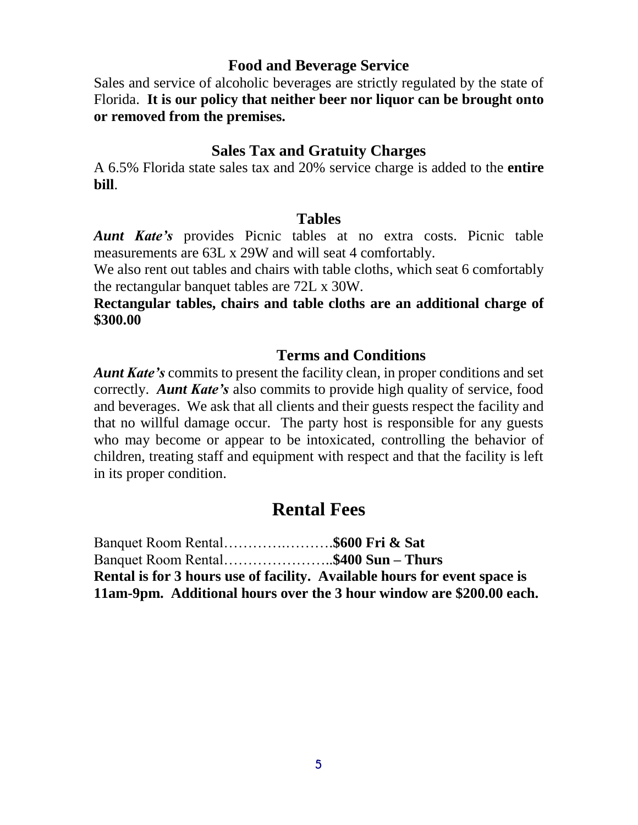### **Food and Beverage Service**

Sales and service of alcoholic beverages are strictly regulated by the state of Florida. **It is our policy that neither beer nor liquor can be brought onto or removed from the premises.**

### **Sales Tax and Gratuity Charges**

A 6.5% Florida state sales tax and 20% service charge is added to the **entire bill**.

### **Tables**

*Aunt Kate's* provides Picnic tables at no extra costs. Picnic table measurements are 63L x 29W and will seat 4 comfortably.

We also rent out tables and chairs with table cloths, which seat 6 comfortably the rectangular banquet tables are 72L x 30W.

**Rectangular tables, chairs and table cloths are an additional charge of \$300.00**

### **Terms and Conditions**

*Aunt Kate's* commits to present the facility clean, in proper conditions and set correctly. *Aunt Kate's* also commits to provide high quality of service, food and beverages. We ask that all clients and their guests respect the facility and that no willful damage occur. The party host is responsible for any guests who may become or appear to be intoxicated, controlling the behavior of children, treating staff and equipment with respect and that the facility is left in its proper condition.

## **Rental Fees**

Banquet Room Rental………….……….**\$600 Fri & Sat** Banquet Room Rental…………………..**\$400 Sun – Thurs Rental is for 3 hours use of facility. Available hours for event space is 11am-9pm. Additional hours over the 3 hour window are \$200.00 each.**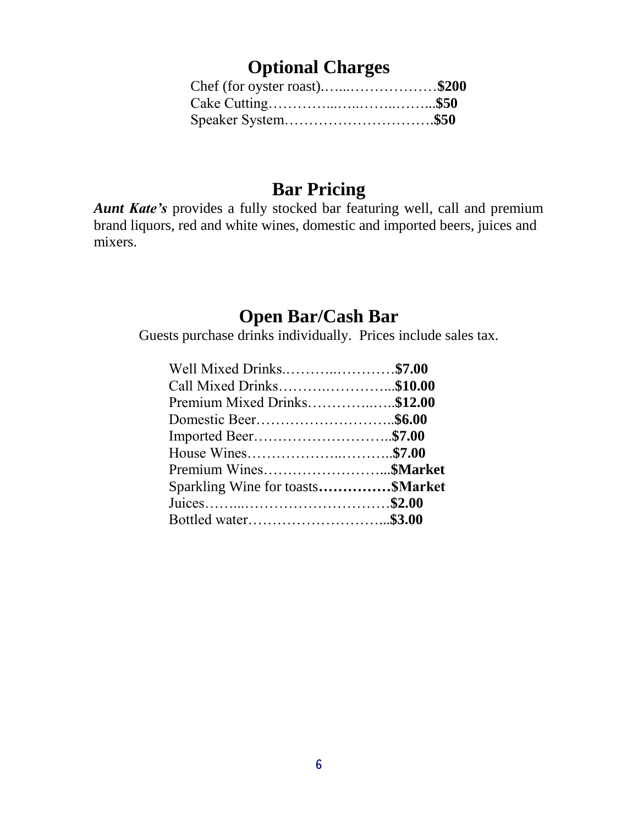# **Optional Charges**

| Chef (for oyster roast)\$200 |  |
|------------------------------|--|
|                              |  |
|                              |  |

## **Bar Pricing**

*Aunt Kate's* provides a fully stocked bar featuring well, call and premium brand liquors, red and white wines, domestic and imported beers, juices and mixers.

# **Open Bar/Cash Bar**

Guests purchase drinks individually. Prices include sales tax.

| Well Mixed Drinks\$7.00          |  |
|----------------------------------|--|
| Call Mixed Drinks\$10.00         |  |
| Premium Mixed Drinks\$12.00      |  |
|                                  |  |
| Imported Beer\$7.00              |  |
|                                  |  |
| Premium Wines\$Market            |  |
| Sparkling Wine for toastsSMarket |  |
|                                  |  |
| Bottled water\$3.00              |  |
|                                  |  |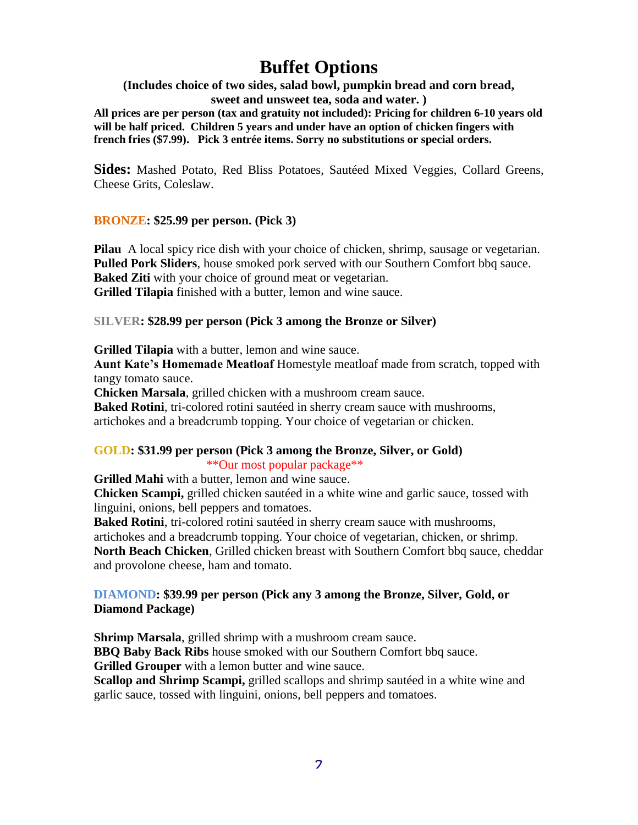# **Buffet Options**

**(Includes choice of two sides, salad bowl, pumpkin bread and corn bread, sweet and unsweet tea, soda and water. )**

**All prices are per person (tax and gratuity not included): Pricing for children 6-10 years old will be half priced. Children 5 years and under have an option of chicken fingers with french fries (\$7.99). Pick 3 entrée items. Sorry no substitutions or special orders.** 

**Sides:** Mashed Potato, Red Bliss Potatoes, Sautéed Mixed Veggies, Collard Greens, Cheese Grits, Coleslaw.

#### **BRONZE: \$25.99 per person. (Pick 3)**

**Pilau** A local spicy rice dish with your choice of chicken, shrimp, sausage or vegetarian. **Pulled Pork Sliders**, house smoked pork served with our Southern Comfort bbq sauce. **Baked Ziti** with your choice of ground meat or vegetarian. **Grilled Tilapia** finished with a butter, lemon and wine sauce.

#### **SILVER: \$28.99 per person (Pick 3 among the Bronze or Silver)**

**Grilled Tilapia** with a butter, lemon and wine sauce.

**Aunt Kate's Homemade Meatloaf** Homestyle meatloaf made from scratch, topped with tangy tomato sauce.

**Chicken Marsala**, grilled chicken with a mushroom cream sauce.

**Baked Rotini**, tri-colored rotini sautéed in sherry cream sauce with mushrooms, artichokes and a breadcrumb topping. Your choice of vegetarian or chicken.

#### **GOLD: \$31.99 per person (Pick 3 among the Bronze, Silver, or Gold)** \*\*Our most popular package\*\*

**Grilled Mahi** with a butter, lemon and wine sauce.

**Chicken Scampi,** grilled chicken sautéed in a white wine and garlic sauce, tossed with linguini, onions, bell peppers and tomatoes.

**Baked Rotini**, tri-colored rotini sautéed in sherry cream sauce with mushrooms, artichokes and a breadcrumb topping. Your choice of vegetarian, chicken, or shrimp. **North Beach Chicken**, Grilled chicken breast with Southern Comfort bbq sauce, cheddar and provolone cheese, ham and tomato.

#### **DIAMOND: \$39.99 per person (Pick any 3 among the Bronze, Silver, Gold, or Diamond Package)**

**Shrimp Marsala**, grilled shrimp with a mushroom cream sauce. **BBQ Baby Back Ribs** house smoked with our Southern Comfort bbq sauce. **Grilled Grouper** with a lemon butter and wine sauce. **Scallop and Shrimp Scampi,** grilled scallops and shrimp sautéed in a white wine and garlic sauce, tossed with linguini, onions, bell peppers and tomatoes.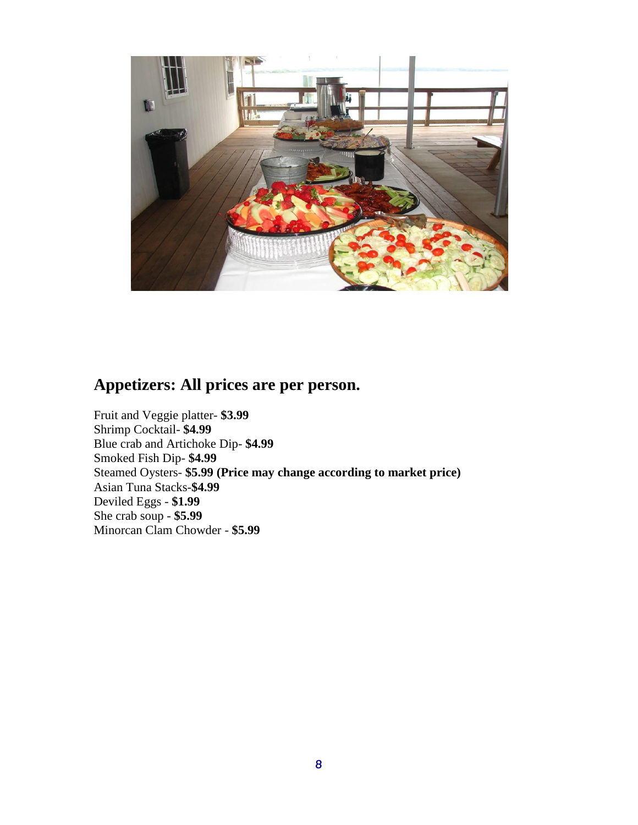

# **Appetizers: All prices are per person.**

Fruit and Veggie platter- **\$3.99** Shrimp Cocktail- **\$4.99** Blue crab and Artichoke Dip- **\$4.99** Smoked Fish Dip- **\$4.99** Steamed Oysters- **\$5.99 (Price may change according to market price)** Asian Tuna Stacks-**\$4.99** Deviled Eggs - **\$1.99** She crab soup - **\$5.99** Minorcan Clam Chowder - **\$5.99**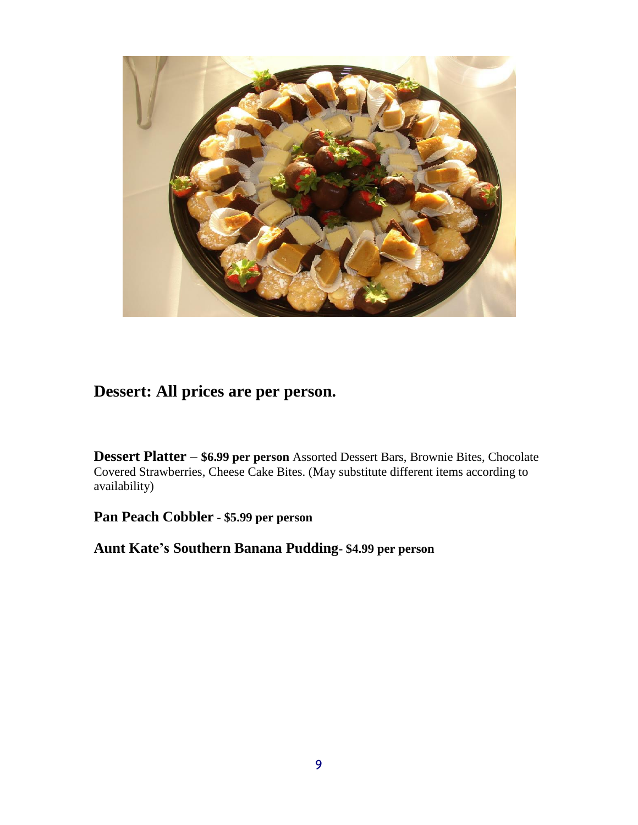

### **Dessert: All prices are per person.**

**Dessert Platter** – **\$6.99 per person** Assorted Dessert Bars, Brownie Bites, Chocolate Covered Strawberries, Cheese Cake Bites. (May substitute different items according to availability)

**Pan Peach Cobbler** - **\$5.99 per person**

**Aunt Kate's Southern Banana Pudding- \$4.99 per person**